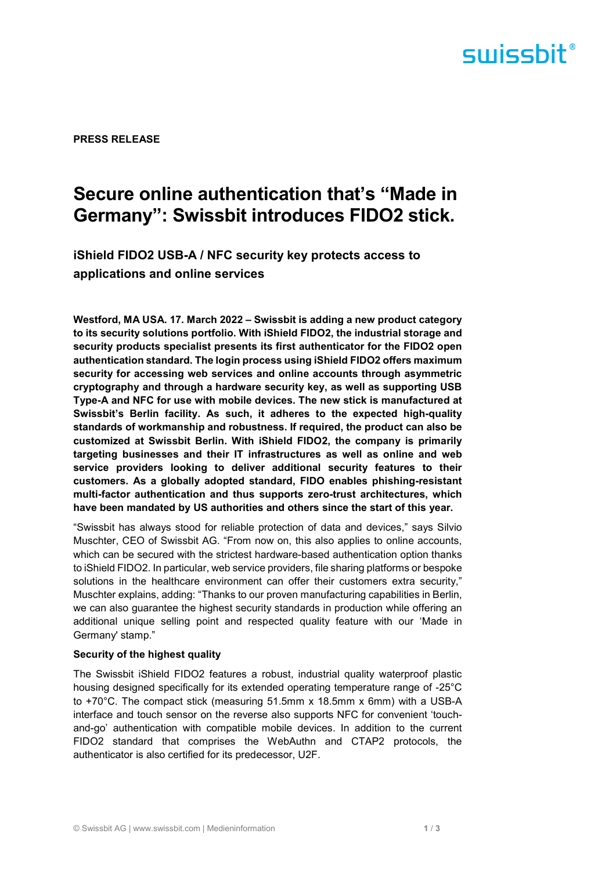## surissbit®

PRESS RELEASE

### Secure online authentication that's "Made in Germany": Swissbit introduces FIDO2 stick.

iShield FIDO2 USB-A / NFC security key protects access to applications and online services

Westford, MA USA. 17. March 2022 – Swissbit is adding a new product category to its security solutions portfolio. With iShield FIDO2, the industrial storage and security products specialist presents its first authenticator for the FIDO2 open authentication standard. The login process using iShield FIDO2 offers maximum security for accessing web services and online accounts through asymmetric cryptography and through a hardware security key, as well as supporting USB Type-A and NFC for use with mobile devices. The new stick is manufactured at Swissbit's Berlin facility. As such, it adheres to the expected high-quality standards of workmanship and robustness. If required, the product can also be customized at Swissbit Berlin. With iShield FIDO2, the company is primarily targeting businesses and their IT infrastructures as well as online and web service providers looking to deliver additional security features to their customers. As a globally adopted standard, FIDO enables phishing-resistant multi-factor authentication and thus supports zero-trust architectures, which have been mandated by US authorities and others since the start of this year.

"Swissbit has always stood for reliable protection of data and devices," says Silvio Muschter, CEO of Swissbit AG. "From now on, this also applies to online accounts, which can be secured with the strictest hardware-based authentication option thanks to iShield FIDO2. In particular, web service providers, file sharing platforms or bespoke solutions in the healthcare environment can offer their customers extra security," Muschter explains, adding: "Thanks to our proven manufacturing capabilities in Berlin, we can also guarantee the highest security standards in production while offering an additional unique selling point and respected quality feature with our 'Made in Germany' stamp."

#### Security of the highest quality

The Swissbit iShield FIDO2 features a robust, industrial quality waterproof plastic housing designed specifically for its extended operating temperature range of -25°C to +70°C. The compact stick (measuring 51.5mm x 18.5mm x 6mm) with a USB-A interface and touch sensor on the reverse also supports NFC for convenient 'touchand-go' authentication with compatible mobile devices. In addition to the current FIDO2 standard that comprises the WebAuthn and CTAP2 protocols, the authenticator is also certified for its predecessor, U2F.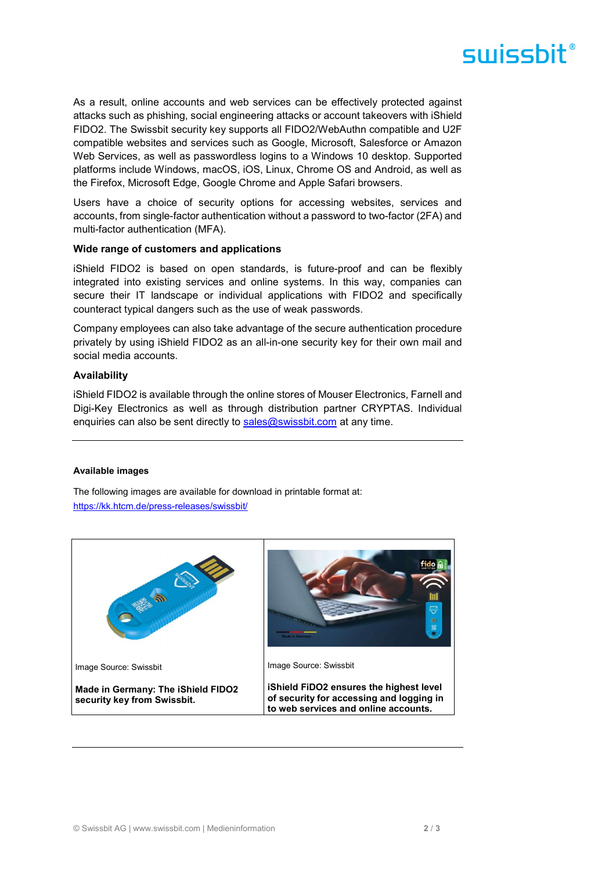# surissbit®

As a result, online accounts and web services can be effectively protected against attacks such as phishing, social engineering attacks or account takeovers with iShield FIDO2. The Swissbit security key supports all FIDO2/WebAuthn compatible and U2F compatible websites and services such as Google, Microsoft, Salesforce or Amazon Web Services, as well as passwordless logins to a Windows 10 desktop. Supported platforms include Windows, macOS, iOS, Linux, Chrome OS and Android, as well as the Firefox, Microsoft Edge, Google Chrome and Apple Safari browsers.

Users have a choice of security options for accessing websites, services and accounts, from single-factor authentication without a password to two-factor (2FA) and multi-factor authentication (MFA).

#### Wide range of customers and applications

iShield FIDO2 is based on open standards, is future-proof and can be flexibly integrated into existing services and online systems. In this way, companies can secure their IT landscape or individual applications with FIDO2 and specifically counteract typical dangers such as the use of weak passwords.

Company employees can also take advantage of the secure authentication procedure privately by using iShield FIDO2 as an all-in-one security key for their own mail and social media accounts.

#### Availability

iShield FIDO2 is available through the online stores of Mouser Electronics, Farnell and Digi-Key Electronics as well as through distribution partner CRYPTAS. Individual enquiries can also be sent directly to sales@swissbit.com at any time.

#### Available images

The following images are available for download in printable format at: https://kk.htcm.de/press-releases/swissbit/